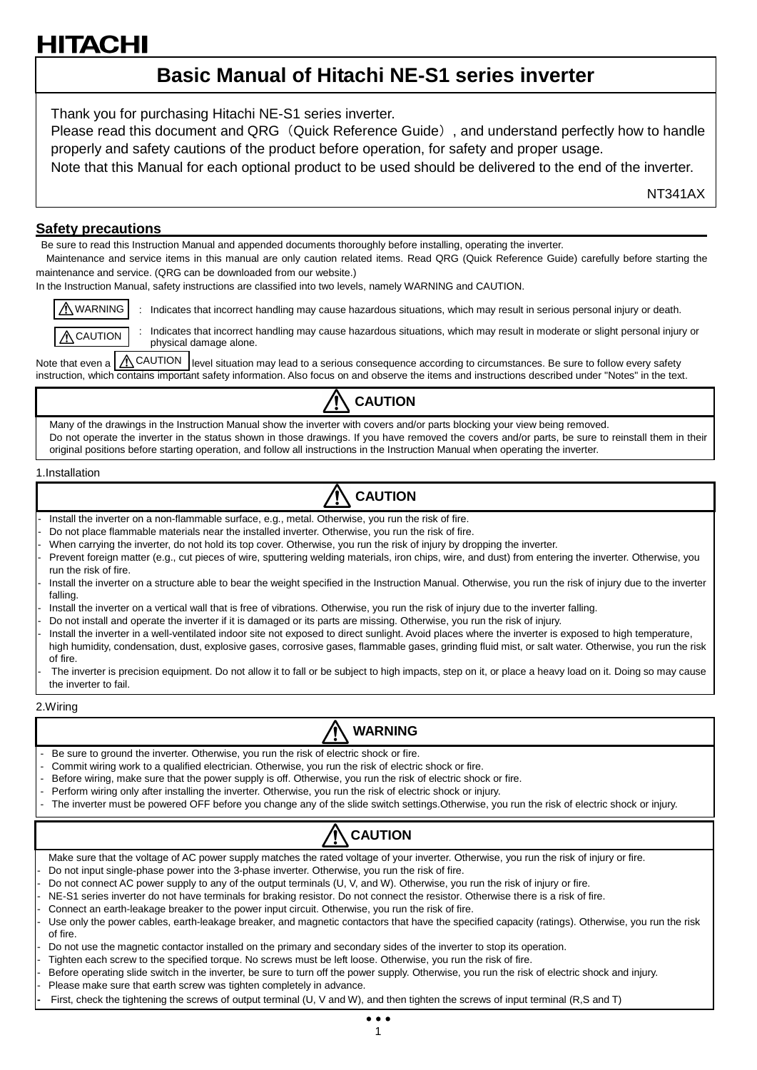# ПАС

# **Basic Manual of Hitachi NE-S1 series inverter**

Thank you for purchasing Hitachi NE-S1 series inverter.

Please read this document and QRG (Quick Reference Guide), and understand perfectly how to handle properly and safety cautions of the product before operation, for safety and proper usage.

Note that this Manual for each optional product to be used should be delivered to the end of the inverter.

NT341AX

## **Safety precautions**

Be sure to read this Instruction Manual and appended documents thoroughly before installing, operating the inverter.

Maintenance and service items in this manual are only caution related items. Read QRG (Quick Reference Guide) carefully before starting the maintenance and service. (QRG can be downloaded from our website.)

In the Instruction Manual, safety instructions are classified into two levels, namely WARNING and CAUTION.

: Indicates that incorrect handling may cause hazardous situations, which may result in serious personal injury or death. WARNING



Indicates that incorrect handling may cause hazardous situations, which may result in moderate or slight personal injury or physical damage alone.

Note that even a  $\bigwedge^{\bullet}$  CAUTION level situation may lead to a serious consequence according to circumstances. Be sure to follow every safety instruction, which contains important safety information. Also focus on and observe the items and instructions described under "Notes" in the text.



Many of the drawings in the Instruction Manual show the inverter with covers and/or parts blocking your view being removed. Do not operate the inverter in the status shown in those drawings. If you have removed the covers and/or parts, be sure to reinstall them in their original positions before starting operation, and follow all instructions in the Instruction Manual when operating the inverter.

#### 1.Installation

# **CAUTION**

- Install the inverter on a non-flammable surface, e.g., metal. Otherwise, you run the risk of fire.
- Do not place flammable materials near the installed inverter. Otherwise, you run the risk of fire.
- When carrying the inverter, do not hold its top cover. Otherwise, you run the risk of injury by dropping the inverter.
- Prevent foreign matter (e.g., cut pieces of wire, sputtering welding materials, iron chips, wire, and dust) from entering the inverter. Otherwise, you run the risk of fire.
- Install the inverter on a structure able to bear the weight specified in the Instruction Manual. Otherwise, you run the risk of injury due to the inverter falling.
- Install the inverter on a vertical wall that is free of vibrations. Otherwise, you run the risk of injury due to the inverter falling.
- Do not install and operate the inverter if it is damaged or its parts are missing. Otherwise, you run the risk of injury.
- Install the inverter in a well-ventilated indoor site not exposed to direct sunlight. Avoid places where the inverter is exposed to high temperature, high humidity, condensation, dust, explosive gases, corrosive gases, flammable gases, grinding fluid mist, or salt water. Otherwise, you run the risk of fire.

The inverter is precision equipment. Do not allow it to fall or be subject to high impacts, step on it, or place a heavy load on it. Doing so may cause the inverter to fail.

2.Wiring

# **WARNING**

- Be sure to ground the inverter. Otherwise, you run the risk of electric shock or fire.
- Commit wiring work to a qualified electrician. Otherwise, you run the risk of electric shock or fire.
- Before wiring, make sure that the power supply is off. Otherwise, you run the risk of electric shock or fire.
- Perform wiring only after installing the inverter. Otherwise, you run the risk of electric shock or injury.
- The inverter must be powered OFF before you change any of the slide switch settings. Otherwise, you run the risk of electric shock or injury.



Make sure that the voltage of AC power supply matches the rated voltage of your inverter. Otherwise, you run the risk of injury or fire.

- Do not input single-phase power into the 3-phase inverter. Otherwise, you run the risk of fire.

- Do not connect AC power supply to any of the output terminals (U, V, and W). Otherwise, you run the risk of injury or fire.
- NE-S1 series inverter do not have terminals for braking resistor. Do not connect the resistor. Otherwise there is a risk of fire.

Connect an earth-leakage breaker to the power input circuit. Otherwise, you run the risk of fire.

- Use only the power cables, earth-leakage breaker, and magnetic contactors that have the specified capacity (ratings). Otherwise, you run the risk of fire.
- Do not use the magnetic contactor installed on the primary and secondary sides of the inverter to stop its operation.

Tighten each screw to the specified torque. No screws must be left loose. Otherwise, you run the risk of fire.

- Before operating slide switch in the inverter, be sure to turn off the power supply. Otherwise, you run the risk of electric shock and injury.
- Please make sure that earth screw was tighten completely in advance.

**-** First, check the tightening the screws of output terminal (U, V and W), and then tighten the screws of input terminal (R,S and T)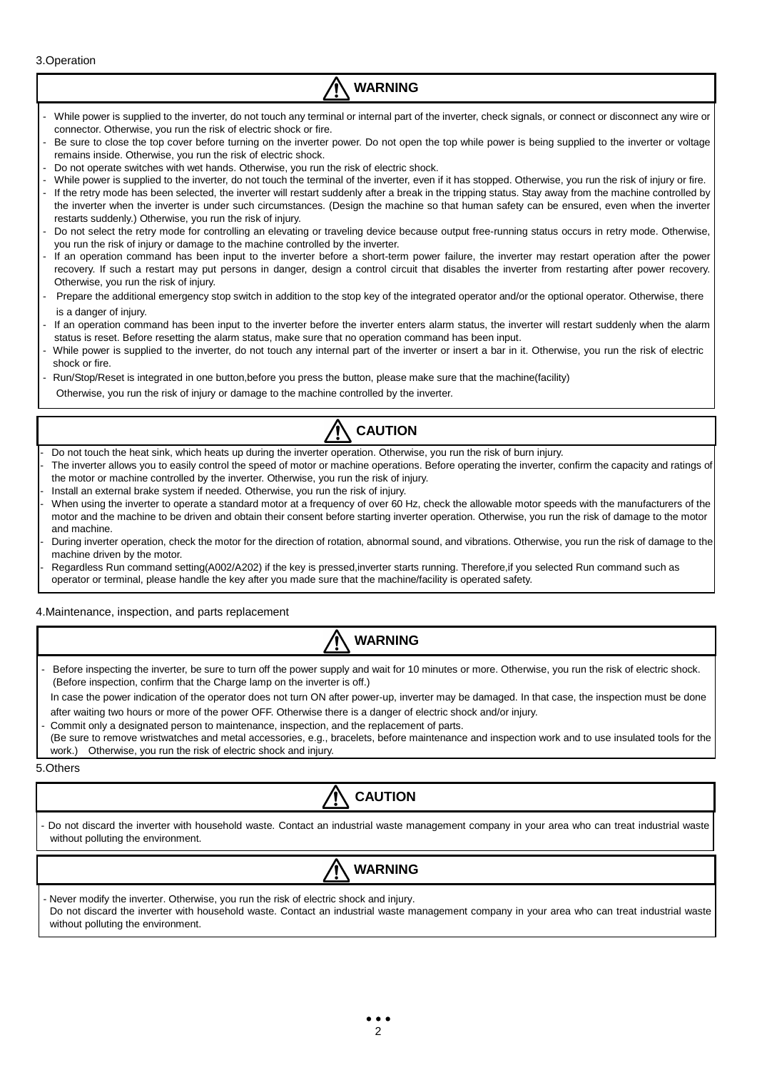3.Operation

# **WARNING**

- While power is supplied to the inverter, do not touch any terminal or internal part of the inverter, check signals, or connect or disconnect any wire or connector. Otherwise, you run the risk of electric shock or fire.
- Be sure to close the top cover before turning on the inverter power. Do not open the top while power is being supplied to the inverter or voltage remains inside. Otherwise, you run the risk of electric shock.
- Do not operate switches with wet hands. Otherwise, you run the risk of electric shock.
- While power is supplied to the inverter, do not touch the terminal of the inverter, even if it has stopped. Otherwise, you run the risk of injury or fire.
- If the retry mode has been selected, the inverter will restart suddenly after a break in the tripping status. Stay away from the machine controlled by the inverter when the inverter is under such circumstances. (Design the machine so that human safety can be ensured, even when the inverter restarts suddenly.) Otherwise, you run the risk of injury.
- Do not select the retry mode for controlling an elevating or traveling device because output free-running status occurs in retry mode. Otherwise, you run the risk of injury or damage to the machine controlled by the inverter.
- If an operation command has been input to the inverter before a short-term power failure, the inverter may restart operation after the power recovery. If such a restart may put persons in danger, design a control circuit that disables the inverter from restarting after power recovery. Otherwise, you run the risk of injury.
- Prepare the additional emergency stop switch in addition to the stop key of the integrated operator and/or the optional operator. Otherwise, there is a danger of injury.
- If an operation command has been input to the inverter before the inverter enters alarm status, the inverter will restart suddenly when the alarm status is reset. Before resetting the alarm status, make sure that no operation command has been input.
- While power is supplied to the inverter, do not touch any internal part of the inverter or insert a bar in it. Otherwise, you run the risk of electric shock or fire.
- Run/Stop/Reset is integrated in one button,before you press the button, please make sure that the machine(facility)
- Otherwise, you run the risk of injury or damage to the machine controlled by the inverter.



- Do not touch the heat sink, which heats up during the inverter operation. Otherwise, you run the risk of burn injury.
- The inverter allows you to easily control the speed of motor or machine operations. Before operating the inverter, confirm the capacity and ratings of the motor or machine controlled by the inverter. Otherwise, you run the risk of injury.
- Install an external brake system if needed. Otherwise, you run the risk of injury.
- When using the inverter to operate a standard motor at a frequency of over 60 Hz, check the allowable motor speeds with the manufacturers of the motor and the machine to be driven and obtain their consent before starting inverter operation. Otherwise, you run the risk of damage to the motor and machine.
- During inverter operation, check the motor for the direction of rotation, abnormal sound, and vibrations. Otherwise, you run the risk of damage to the machine driven by the motor.
- Regardless Run command setting(A002/A202) if the key is pressed, inverter starts running. Therefore, if you selected Run command such as operator or terminal, please handle the key after you made sure that the machine/facility is operated safety.

4.Maintenance, inspection, and parts replacement



Before inspecting the inverter, be sure to turn off the power supply and wait for 10 minutes or more. Otherwise, you run the risk of electric shock. (Before inspection, confirm that the Charge lamp on the inverter is off.)

In case the power indication of the operator does not turn ON after power-up, inverter may be damaged. In that case, the inspection must be done after waiting two hours or more of the power OFF. Otherwise there is a danger of electric shock and/or injury.

- Commit only a designated person to maintenance, inspection, and the replacement of parts.
- (Be sure to remove wristwatches and metal accessories, e.g., bracelets, before maintenance and inspection work and to use insulated tools for the work.) Otherwise, you run the risk of electric shock and injury.

5.Others



- Do not discard the inverter with household waste. Contact an industrial waste management company in your area who can treat industrial waste without polluting the environment.

# **WARNING**

Never modify the inverter. Otherwise, you run the risk of electric shock and injury. Do not discard the inverter with household waste. Contact an industrial waste management company in your area who can treat industrial waste without polluting the environment.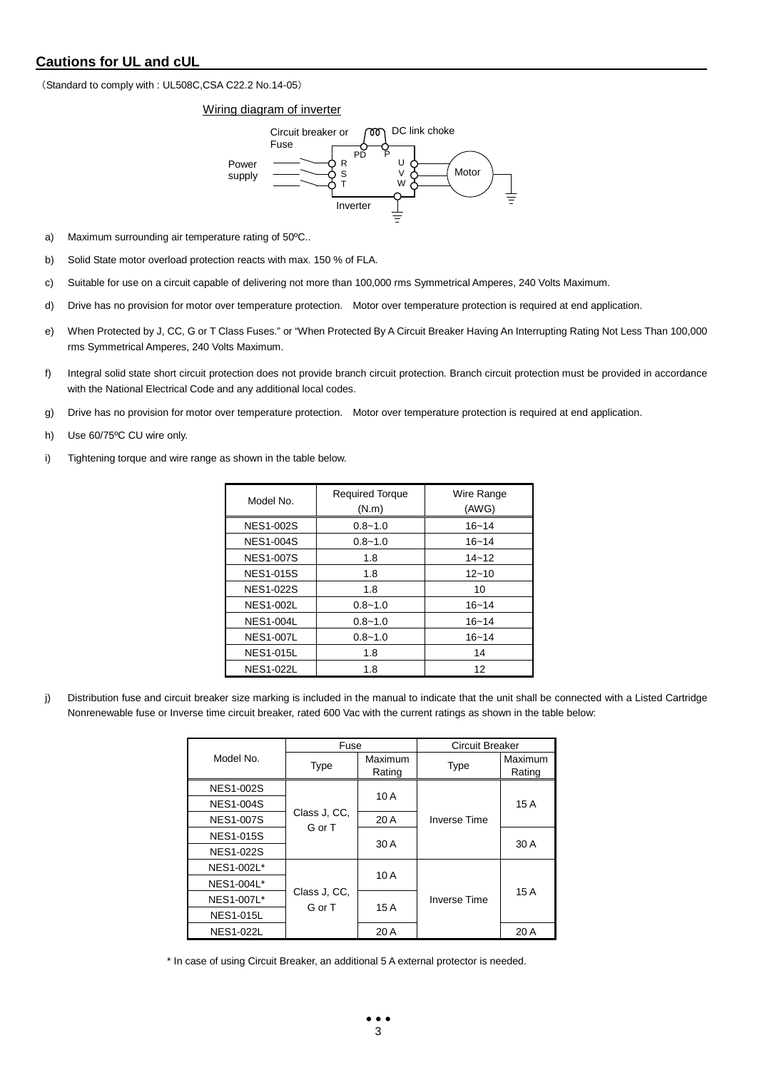# **Cautions for UL and cUL**

(Standard to comply with : UL508C,CSA C22.2 No.14-05)

Wiring diagram of inverter



- a) Maximum surrounding air temperature rating of 50ºC..
- b) Solid State motor overload protection reacts with max. 150 % of FLA.
- c) Suitable for use on a circuit capable of delivering not more than 100,000 rms Symmetrical Amperes, 240 Volts Maximum.
- d) Drive has no provision for motor over temperature protection. Motor over temperature protection is required at end application.
- e) When Protected by J, CC, G or T Class Fuses." or "When Protected By A Circuit Breaker Having An Interrupting Rating Not Less Than 100,000 rms Symmetrical Amperes, 240 Volts Maximum.
- f) Integral solid state short circuit protection does not provide branch circuit protection. Branch circuit protection must be provided in accordance with the National Electrical Code and any additional local codes.
- g) Drive has no provision for motor over temperature protection. Motor over temperature protection is required at end application.
- h) Use 60/75ºC CU wire only.
- i) Tightening torque and wire range as shown in the table below.

| Model No.        | <b>Required Torque</b><br>(N.m) | Wire Range<br>(AWG) |
|------------------|---------------------------------|---------------------|
| <b>NES1-002S</b> | $0.8 - 1.0$                     | $16 - 14$           |
| <b>NES1-004S</b> | $0.8 - 1.0$                     | $16 - 14$           |
| <b>NES1-007S</b> | 1.8                             | $14 - 12$           |
| <b>NES1-015S</b> | 1.8                             | $12 - 10$           |
| <b>NES1-022S</b> | 1.8                             | 10                  |
| <b>NES1-002L</b> | $0.8 - 1.0$                     | $16 - 14$           |
| <b>NES1-004L</b> | $0.8 - 1.0$                     | $16 - 14$           |
| <b>NES1-007L</b> | $0.8 - 1.0$                     | $16 - 14$           |
| <b>NES1-015L</b> | 1.8                             | 14                  |
| <b>NES1-022L</b> | 1.8                             | 12                  |

j) Distribution fuse and circuit breaker size marking is included in the manual to indicate that the unit shall be connected with a Listed Cartridge Nonrenewable fuse or Inverse time circuit breaker, rated 600 Vac with the current ratings as shown in the table below:

|                  | Fuse                   |         | <b>Circuit Breaker</b> |         |  |
|------------------|------------------------|---------|------------------------|---------|--|
| Model No.        | <b>Type</b>            | Maximum | <b>Type</b>            | Maximum |  |
|                  |                        | Rating  |                        | Rating  |  |
| <b>NES1-002S</b> |                        | 10 A    |                        |         |  |
| <b>NES1-004S</b> |                        |         |                        | 15A     |  |
| <b>NES1-007S</b> | Class J. CC.<br>G or T | 20 A    | <b>Inverse Time</b>    |         |  |
| <b>NES1-015S</b> |                        | 30 A    |                        | 30 A    |  |
| <b>NES1-022S</b> |                        |         |                        |         |  |
| NES1-002L*       |                        |         |                        |         |  |
| NES1-004L*       |                        | 10A     |                        | 15A     |  |
| NES1-007L*       | Class J. CC.<br>G or T |         | <b>Inverse Time</b>    |         |  |
| <b>NES1-015L</b> |                        | 15 A    |                        |         |  |
| <b>NES1-022L</b> |                        | 20 A    |                        | 20 A    |  |

\* In case of using Circuit Breaker, an additional 5 A external protector is needed.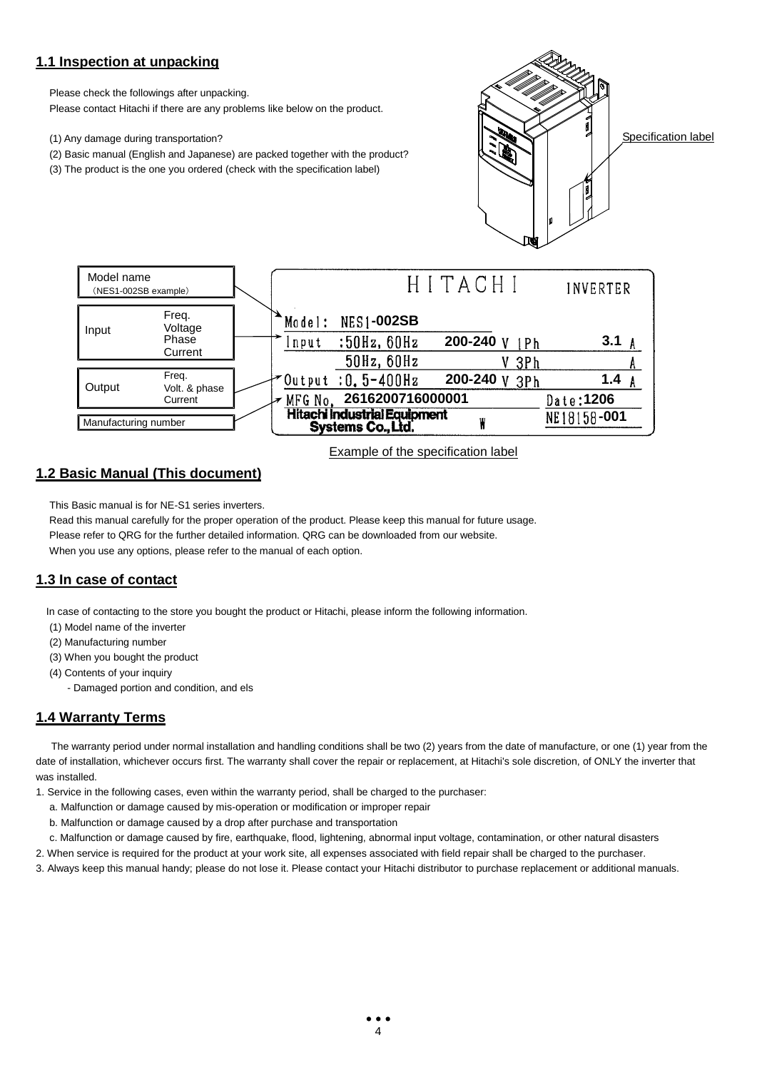# **1.1 Inspection at unpacking**

Please check the followings after unpacking.

Please contact Hitachi if there are any problems like below on the product.

(1) Any damage during transportation?

- (2) Basic manual (English and Japanese) are packed together with the product?
- (3) The product is the one you ordered (check with the specification label)



Specification label



Example of the specification label

# **1.2 Basic Manual (This document)**

This Basic manual is for NE-S1 series inverters.

Read this manual carefully for the proper operation of the product. Please keep this manual for future usage. Please refer to QRG for the further detailed information. QRG can be downloaded from our website. When you use any options, please refer to the manual of each option.

# **1.3 In case of contact**

In case of contacting to the store you bought the product or Hitachi, please inform the following information.

- (1) Model name of the inverter
- (2) Manufacturing number
- (3) When you bought the product
- (4) Contents of your inquiry
	- Damaged portion and condition, and els

# **1.4 Warranty Terms**

The warranty period under normal installation and handling conditions shall be two (2) years from the date of manufacture, or one (1) year from the date of installation, whichever occurs first. The warranty shall cover the repair or replacement, at Hitachi's sole discretion, of ONLY the inverter that was installed.

- 1. Service in the following cases, even within the warranty period, shall be charged to the purchaser:
	- a. Malfunction or damage caused by mis-operation or modification or improper repair
	- b. Malfunction or damage caused by a drop after purchase and transportation
	- c. Malfunction or damage caused by fire, earthquake, flood, lightening, abnormal input voltage, contamination, or other natural disasters
- 2. When service is required for the product at your work site, all expenses associated with field repair shall be charged to the purchaser.
- 3. Always keep this manual handy; please do not lose it. Please contact your Hitachi distributor to purchase replacement or additional manuals.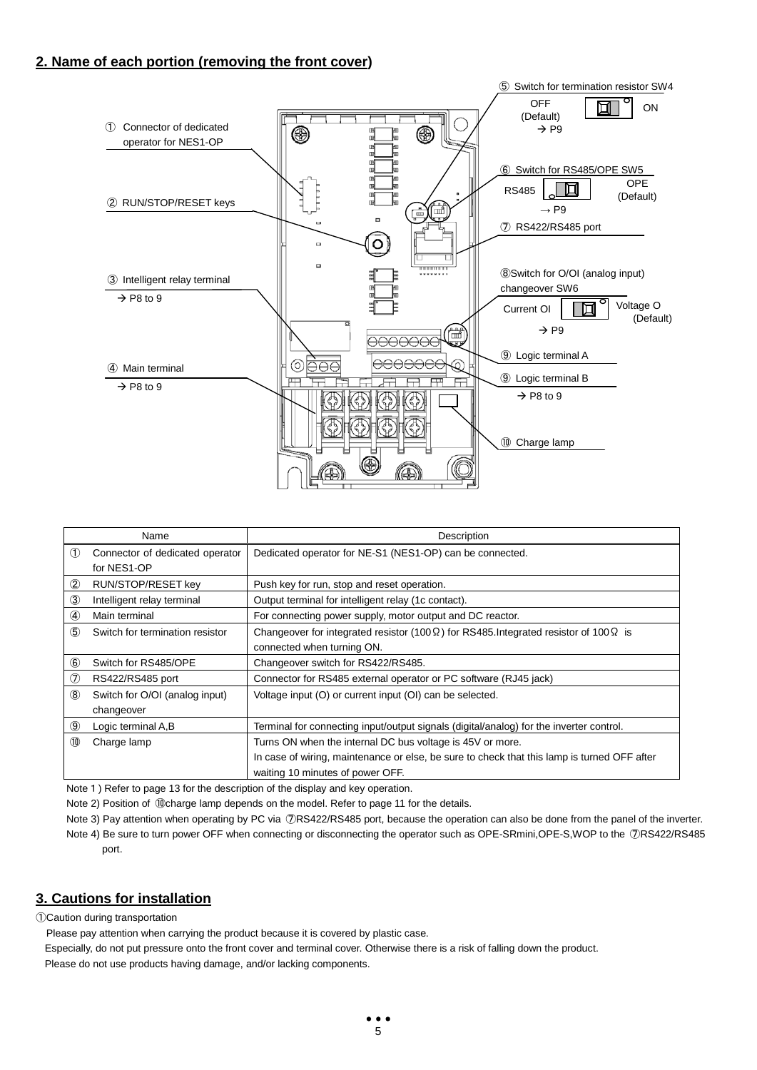# **2. Name of each portion (removing the front cover)**



|                | Name                            | Description                                                                                          |
|----------------|---------------------------------|------------------------------------------------------------------------------------------------------|
| (1)            | Connector of dedicated operator | Dedicated operator for NE-S1 (NES1-OP) can be connected.                                             |
|                | for NES1-OP                     |                                                                                                      |
| ②              | RUN/STOP/RESET key              | Push key for run, stop and reset operation.                                                          |
| $\circled{3}$  | Intelligent relay terminal      | Output terminal for intelligent relay (1c contact).                                                  |
| $\circledA$    | Main terminal                   | For connecting power supply, motor output and DC reactor.                                            |
| $\circledS$    | Switch for termination resistor | Changeover for integrated resistor (100 $\Omega$ ) for RS485. Integrated resistor of 100 $\Omega$ is |
|                |                                 | connected when turning ON.                                                                           |
| $^{\circledR}$ | Switch for RS485/OPE            | Changeover switch for RS422/RS485.                                                                   |
| $\circledcirc$ | RS422/RS485 port                | Connector for RS485 external operator or PC software (RJ45 jack)                                     |
| $\circledS$    | Switch for O/OI (analog input)  | Voltage input (O) or current input (OI) can be selected.                                             |
|                | changeover                      |                                                                                                      |
| ◉              | Logic terminal A,B              | Terminal for connecting input/output signals (digital/analog) for the inverter control.              |
| 10             | Charge lamp                     | Turns ON when the internal DC bus voltage is 45V or more.                                            |
|                |                                 | In case of wiring, maintenance or else, be sure to check that this lamp is turned OFF after          |
|                |                                 | waiting 10 minutes of power OFF.                                                                     |

Note 1) Refer to page 13 for the description of the display and key operation.

Note 2) Position of ⑩charge lamp depends on the model. Refer to page 11 for the details.

Note 3) Pay attention when operating by PC via ⑦RS422/RS485 port, because the operation can also be done from the panel of the inverter. Note 4) Be sure to turn power OFF when connecting or disconnecting the operator such as OPE-SRmini,OPE-S,WOP to the ⑦RS422/RS485 port.

# **3. Cautions for installation**

①Caution during transportation

Please pay attention when carrying the product because it is covered by plastic case.

Especially, do not put pressure onto the front cover and terminal cover. Otherwise there is a risk of falling down the product. Please do not use products having damage, and/or lacking components.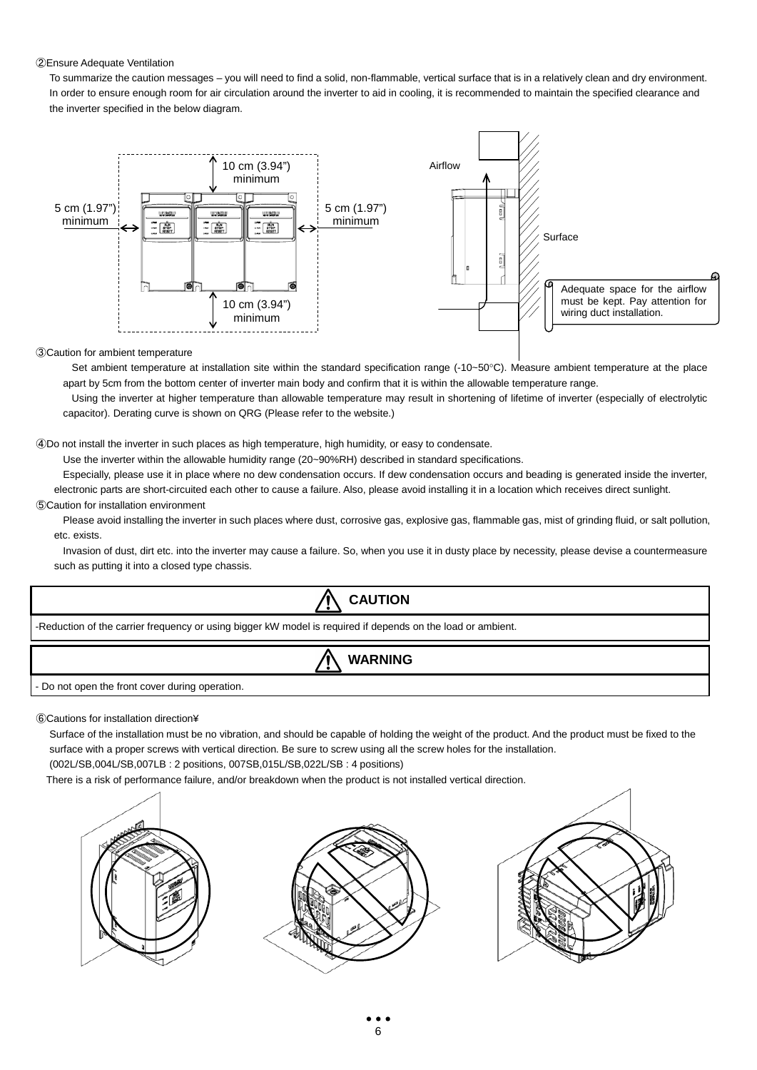#### ②Ensure Adequate Ventilation

To summarize the caution messages – you will need to find a solid, non-flammable, vertical surface that is in a relatively clean and dry environment. In order to ensure enough room for air circulation around the inverter to aid in cooling, it is recommended to maintain the specified clearance and the inverter specified in the below diagram.



#### ③Caution for ambient temperature

Set ambient temperature at installation site within the standard specification range (-10~50°C). Measure ambient temperature at the place apart by 5cm from the bottom center of inverter main body and confirm that it is within the allowable temperature range.

Using the inverter at higher temperature than allowable temperature may result in shortening of lifetime of inverter (especially of electrolytic capacitor). Derating curve is shown on QRG (Please refer to the website.)

#### ④Do not install the inverter in such places as high temperature, high humidity, or easy to condensate.

Use the inverter within the allowable humidity range (20~90%RH) described in standard specifications.

Especially, please use it in place where no dew condensation occurs. If dew condensation occurs and beading is generated inside the inverter, electronic parts are short-circuited each other to cause a failure. Also, please avoid installing it in a location which receives direct sunlight.

#### ⑤Caution for installation environment

Please avoid installing the inverter in such places where dust, corrosive gas, explosive gas, flammable gas, mist of grinding fluid, or salt pollution, etc. exists.

Invasion of dust, dirt etc. into the inverter may cause a failure. So, when you use it in dusty place by necessity, please devise a countermeasure such as putting it into a closed type chassis.



⑥Cautions for installation direction¥

Surface of the installation must be no vibration, and should be capable of holding the weight of the product. And the product must be fixed to the surface with a proper screws with vertical direction. Be sure to screw using all the screw holes for the installation.

(002L/SB,004L/SB,007LB : 2 positions, 007SB,015L/SB,022L/SB : 4 positions)

There is a risk of performance failure, and/or breakdown when the product is not installed vertical direction.

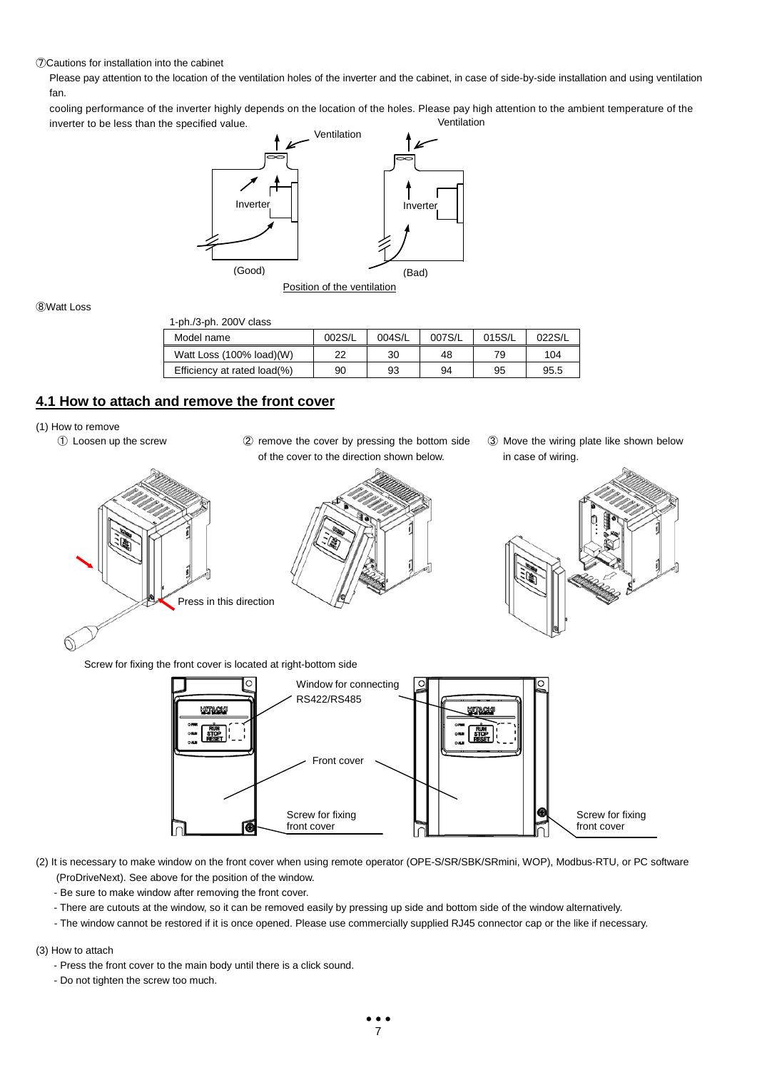⑦Cautions for installation into the cabinet

Please pay attention to the location of the ventilation holes of the inverter and the cabinet, in case of side-by-side installation and using ventilation fan.

cooling performance of the inverter highly depends on the location of the holes. Please pay high attention to the ambient temperature of the inverter to be less than the specified value. Ventilation



⑧Watt Loss

 $ph/3$ <sub>ph.</sub>  $200V$  class

| <b>1-PHI'S-PHI'S TABLE OF STATE</b> |        |        |        |        |        |
|-------------------------------------|--------|--------|--------|--------|--------|
| Model name                          | 002S/L | 004S/L | 007S/L | 015S/L | 022S/L |
| Watt Loss (100% load)(W)            | 22     | 30     | 48     | 79     | 104    |
| Efficiency at rated load(%)         | 90     | 93     | 94     | 95     | 95.5   |

# **4.1 How to attach and remove the front cover**

- (1) How to remove
	-
	- ① Loosen up the screw ② remove the cover by pressing the bottom side of the cover to the direction shown below.



③ Move the wiring plate like shown below in case of wiring.



Screw for fixing the front cover is located at right-bottom side



(2) It is necessary to make window on the front cover when using remote operator (OPE-S/SR/SBK/SRmini, WOP), Modbus-RTU, or PC software (ProDriveNext). See above for the position of the window.

- Be sure to make window after removing the front cover.
- There are cutouts at the window, so it can be removed easily by pressing up side and bottom side of the window alternatively.
- The window cannot be restored if it is once opened. Please use commercially supplied RJ45 connector cap or the like if necessary.

(3) How to attach

- Press the front cover to the main body until there is a click sound.
- Do not tighten the screw too much.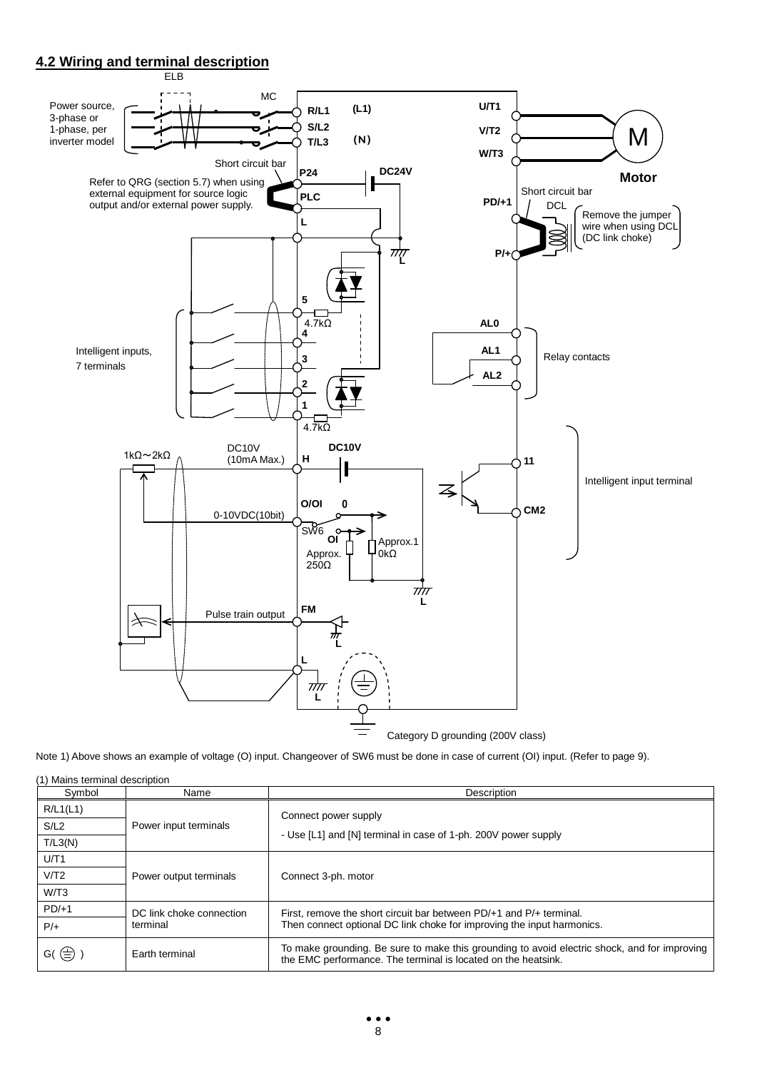# **4.2 Wiring and terminal description**



Note 1) Above shows an example of voltage (O) input. Changeover of SW6 must be done in case of current (OI) input. (Refer to page 9).

| (1) Mains terminal description<br>Symbol | Name                     | Description                                                                                                                                                   |  |  |  |
|------------------------------------------|--------------------------|---------------------------------------------------------------------------------------------------------------------------------------------------------------|--|--|--|
| R/L1(L1)                                 |                          | Connect power supply                                                                                                                                          |  |  |  |
| S/L2                                     | Power input terminals    |                                                                                                                                                               |  |  |  |
| T/L3(N)                                  |                          | - Use [L1] and [N] terminal in case of 1-ph. 200V power supply                                                                                                |  |  |  |
| U/T1                                     |                          |                                                                                                                                                               |  |  |  |
| V/T2                                     | Power output terminals   | Connect 3-ph. motor                                                                                                                                           |  |  |  |
| W/T3                                     |                          |                                                                                                                                                               |  |  |  |
| $PD/+1$                                  | DC link choke connection | First, remove the short circuit bar between PD/+1 and P/+ terminal.                                                                                           |  |  |  |
| $P/+$                                    | terminal                 | Then connect optional DC link choke for improving the input harmonics.                                                                                        |  |  |  |
| $G(\bigoplus$                            | Earth terminal           | To make grounding. Be sure to make this grounding to avoid electric shock, and for improving<br>the EMC performance. The terminal is located on the heatsink. |  |  |  |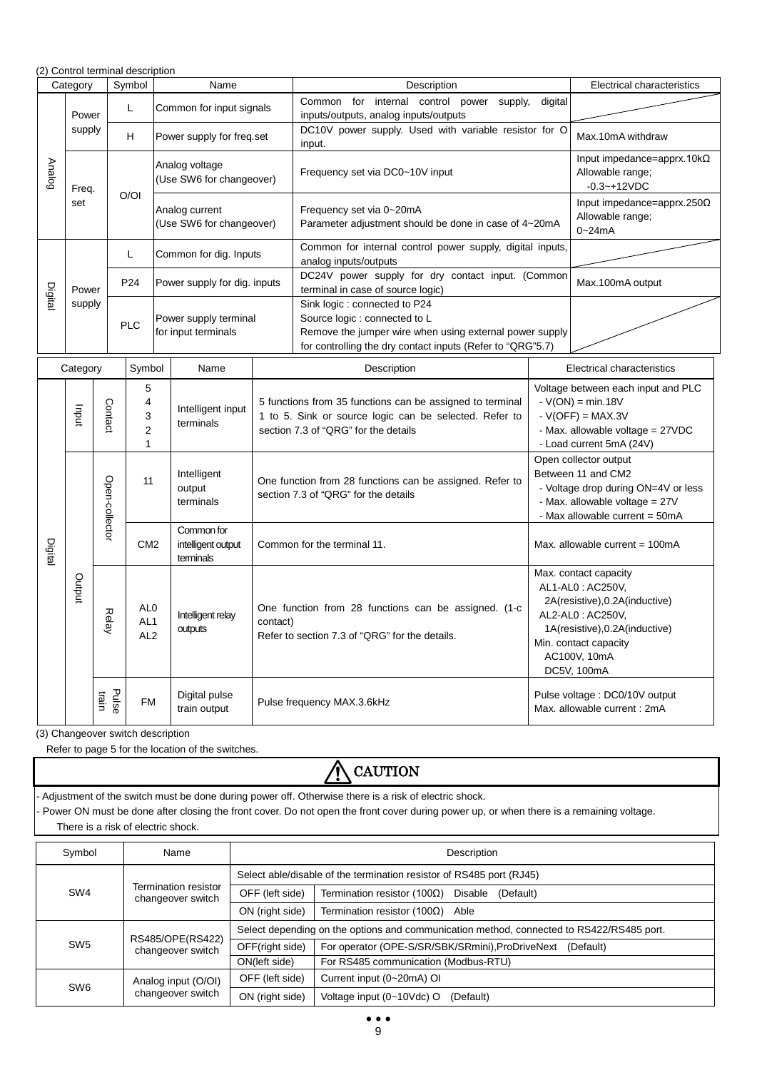|               |                                           |                | (2) Control terminal description                           |  |                                               |                                   |                                                                                                                                                                                        |                                                                                                                                                |                                                                                                                                                                                           |
|---------------|-------------------------------------------|----------------|------------------------------------------------------------|--|-----------------------------------------------|-----------------------------------|----------------------------------------------------------------------------------------------------------------------------------------------------------------------------------------|------------------------------------------------------------------------------------------------------------------------------------------------|-------------------------------------------------------------------------------------------------------------------------------------------------------------------------------------------|
|               | Symbol<br>Category<br>Name<br>Description |                |                                                            |  |                                               | <b>Electrical characteristics</b> |                                                                                                                                                                                        |                                                                                                                                                |                                                                                                                                                                                           |
|               | Power                                     |                | Г                                                          |  | Common for input signals                      |                                   | internal control<br>Common<br>for<br>power<br>supply,<br>inputs/outputs, analog inputs/outputs                                                                                         | digital                                                                                                                                        |                                                                                                                                                                                           |
|               | supply                                    |                | H                                                          |  | Power supply for freq.set                     |                                   | DC10V power supply. Used with variable resistor for O<br>input.                                                                                                                        |                                                                                                                                                | Max.10mA withdraw                                                                                                                                                                         |
| <b>Analog</b> | Freq.                                     |                | O/OI                                                       |  | Analog voltage<br>(Use SW6 for changeover)    |                                   | Frequency set via DC0~10V input                                                                                                                                                        |                                                                                                                                                | Input impedance=apprx.10 $k\Omega$<br>Allowable range;<br>$-0.3 - +12VDC$                                                                                                                 |
|               | set                                       |                |                                                            |  | Analog current<br>(Use SW6 for changeover)    |                                   | Frequency set via 0~20mA<br>Parameter adjustment should be done in case of 4~20mA                                                                                                      |                                                                                                                                                | Input impedance=apprx.250 $\Omega$<br>Allowable range;<br>$0 - 24mA$                                                                                                                      |
|               |                                           |                | L                                                          |  | Common for dig. Inputs                        |                                   | Common for internal control power supply, digital inputs,<br>analog inputs/outputs                                                                                                     |                                                                                                                                                |                                                                                                                                                                                           |
| Digita        | Power                                     |                | P <sub>24</sub>                                            |  | Power supply for dig. inputs                  |                                   | DC24V power supply for dry contact input. (Common<br>terminal in case of source logic)                                                                                                 |                                                                                                                                                | Max.100mA output                                                                                                                                                                          |
|               | supply                                    |                | <b>PLC</b>                                                 |  | Power supply terminal<br>for input terminals  |                                   | Sink logic: connected to P24<br>Source logic : connected to L<br>Remove the jumper wire when using external power supply<br>for controlling the dry contact inputs (Refer to "QRG"5.7) |                                                                                                                                                |                                                                                                                                                                                           |
|               | Category                                  |                | Symbol                                                     |  | Name                                          |                                   | Description                                                                                                                                                                            | Electrical characteristics                                                                                                                     |                                                                                                                                                                                           |
|               | uput                                      | Contact        | 5<br>$\overline{4}$<br>3<br>$\overline{2}$<br>$\mathbf{1}$ |  | Intelligent input<br>terminals                |                                   | 5 functions from 35 functions can be assigned to terminal<br>1 to 5. Sink or source logic can be selected. Refer to<br>section 7.3 of "QRG" for the details                            | Voltage between each input and PLC<br>$-V(ON) = min.18V$<br>$-V(OFF) = MAX.3V$<br>- Max. allowable voltage = 27VDC<br>- Load current 5mA (24V) |                                                                                                                                                                                           |
|               |                                           | Open-collector | 11                                                         |  | Intelligent<br>output<br>terminals            |                                   | Open collector output<br>Between 11 and CM2<br>One function from 28 functions can be assigned. Refer to<br>section 7.3 of "QRG" for the details<br>- Max. allowable voltage = 27V      |                                                                                                                                                | - Voltage drop during ON=4V or less<br>- Max allowable current = 50mA                                                                                                                     |
| Digital       |                                           |                | CM <sub>2</sub>                                            |  | Common for<br>intelligent output<br>terminals |                                   | Common for the terminal 11.                                                                                                                                                            |                                                                                                                                                | Max. allowable current = $100mA$                                                                                                                                                          |
|               | putput                                    | Relay          | AL <sub>0</sub><br>AL <sub>1</sub><br>AL <sub>2</sub>      |  | Intelligent relay<br>outputs                  | contact)                          | One function from 28 functions can be assigned. (1-c<br>Refer to section 7.3 of "QRG" for the details.                                                                                 |                                                                                                                                                | Max. contact capacity<br>AL1-AL0: AC250V,<br>2A(resistive), 0.2A(inductive)<br>AL2-AL0: AC250V,<br>1A(resistive), 0.2A(inductive)<br>Min. contact capacity<br>AC100V, 10mA<br>DC5V, 100mA |
|               |                                           | Pulse<br>train | <b>FM</b>                                                  |  | Digital pulse<br>train output                 |                                   | Pulse frequency MAX.3.6kHz                                                                                                                                                             |                                                                                                                                                | Pulse voltage : DC0/10V output<br>Max. allowable current: 2mA                                                                                                                             |

(3) Changeover switch description

Refer to page 5 for the location of the switches.

Symbol Name Name Name Name Nescription SW4 Termination resistor changeover switch Select able/disable of the termination resistor of RS485 port (RJ45) OFF (left side) Termination resistor (100Ω) Disable (Default) ON (right side) Termination resistor (100Ω) Able - Adjustment of the switch must be done during power off. Otherwise there is a risk of electric shock. - Power ON must be done after closing the front cover. Do not open the front cover during power up, or when there is a remaining voltage. There is a risk of electric shock. **A** CAUTION

#### SW5 RS485/OPE(RS422) changeover switch Select depending on the options and communication method, connected to RS422/RS485 port. OFF(right side) | For operator (OPE-S/SR/SBK/SRmini), ProDriveNext (Default) ON(left side) For RS485 communication (Modbus-RTU) SW6 Analog input (O/OI) changeover switch OFF (left side) Current input (0~20mA) OI ON (right side) | Voltage input (0~10Vdc) O (Default)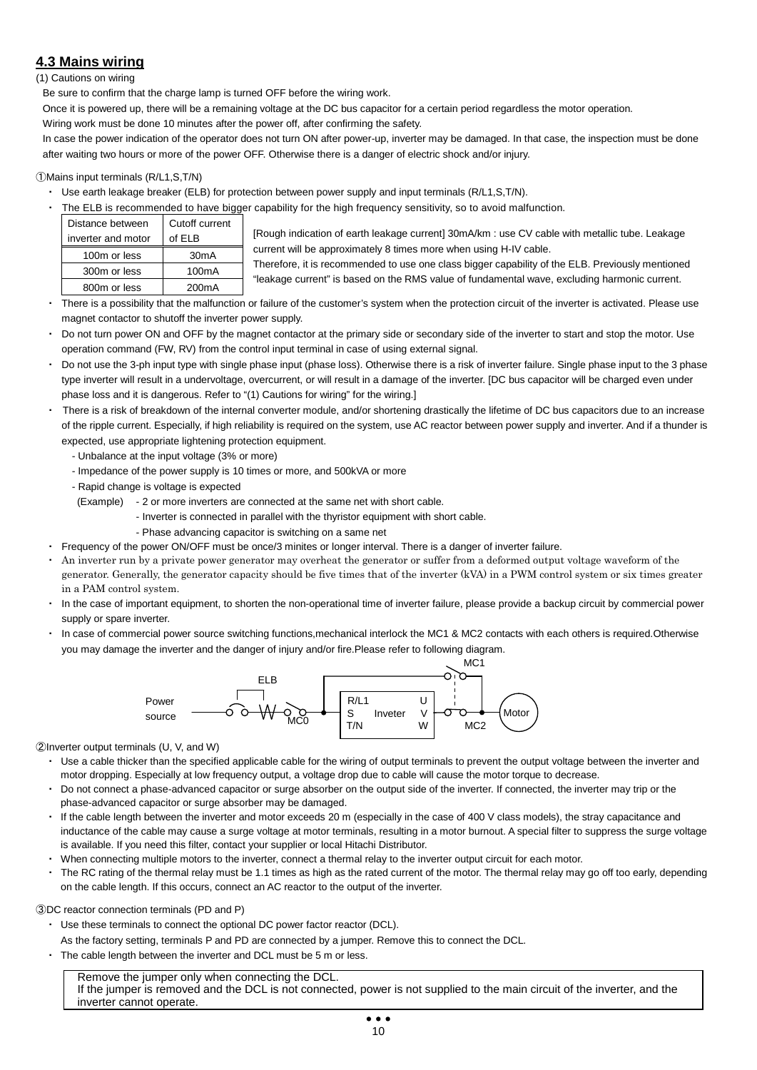# **4.3 Mains wiring**

(1) Cautions on wiring

Be sure to confirm that the charge lamp is turned OFF before the wiring work.

Once it is powered up, there will be a remaining voltage at the DC bus capacitor for a certain period regardless the motor operation.

Wiring work must be done 10 minutes after the power off, after confirming the safety.

In case the power indication of the operator does not turn ON after power-up, inverter may be damaged. In that case, the inspection must be done after waiting two hours or more of the power OFF. Otherwise there is a danger of electric shock and/or injury.

#### ①Mains input terminals (R/L1,S,T/N)

- ・ Use earth leakage breaker (ELB) for protection between power supply and input terminals (R/L1,S,T/N).
- The ELB is recommended to have bigger capability for the high frequency sensitivity, so to avoid malfunction.

| Distance between   | Cutoff current     |
|--------------------|--------------------|
| inverter and motor | of ELB             |
| 100m or less       | 30 <sub>m</sub> A  |
| 300m or less       | 100 <sub>m</sub> A |
| 800m or less       | 200 <sub>m</sub> A |

[Rough indication of earth leakage current] 30mA/km : use CV cable with metallic tube. Leakage current will be approximately 8 times more when using H-IV cable.

Therefore, it is recommended to use one class bigger capability of the ELB. Previously mentioned "leakage current" is based on the RMS value of fundamental wave, excluding harmonic current.

- There is a possibility that the malfunction or failure of the customer's system when the protection circuit of the inverter is activated. Please use magnet contactor to shutoff the inverter power supply.
- Do not turn power ON and OFF by the magnet contactor at the primary side or secondary side of the inverter to start and stop the motor. Use operation command (FW, RV) from the control input terminal in case of using external signal.
- Do not use the 3-ph input type with single phase input (phase loss). Otherwise there is a risk of inverter failure. Single phase input to the 3 phase type inverter will result in a undervoltage, overcurrent, or will result in a damage of the inverter. [DC bus capacitor will be charged even under phase loss and it is dangerous. Refer to "(1) Cautions for wiring" for the wiring.]
- There is a risk of breakdown of the internal converter module, and/or shortening drastically the lifetime of DC bus capacitors due to an increase of the ripple current. Especially, if high reliability is required on the system, use AC reactor between power supply and inverter. And if a thunder is expected, use appropriate lightening protection equipment.
	- Unbalance at the input voltage (3% or more)
	- Impedance of the power supply is 10 times or more, and 500kVA or more
	- Rapid change is voltage is expected
	- (Example) 2 or more inverters are connected at the same net with short cable.
		- Inverter is connected in parallel with the thyristor equipment with short cable.
		- Phase advancing capacitor is switching on a same net
- Frequency of the power ON/OFF must be once/3 minites or longer interval. There is a danger of inverter failure.
- An inverter run by a private power generator may overheat the generator or suffer from a deformed output voltage waveform of the generator. Generally, the generator capacity should be five times that of the inverter (kVA) in a PWM control system or six times greater in a PAM control system.
- ・ In the case of important equipment, to shorten the non-operational time of inverter failure, please provide a backup circuit by commercial power supply or spare inverter.
- In case of commercial power source switching functions,mechanical interlock the MC1 & MC2 contacts with each others is required. Otherwise you may damage the inverter and the danger of injury and/or fire.Please refer to following diagram.



②Inverter output terminals (U, V, and W)

- ・ Use a cable thicker than the specified applicable cable for the wiring of output terminals to prevent the output voltage between the inverter and motor dropping. Especially at low frequency output, a voltage drop due to cable will cause the motor torque to decrease.
- ・ Do not connect a phase-advanced capacitor or surge absorber on the output side of the inverter. If connected, the inverter may trip or the phase-advanced capacitor or surge absorber may be damaged.
- ・ If the cable length between the inverter and motor exceeds 20 m (especially in the case of 400 V class models), the stray capacitance and inductance of the cable may cause a surge voltage at motor terminals, resulting in a motor burnout. A special filter to suppress the surge voltage is available. If you need this filter, contact your supplier or local Hitachi Distributor.
- ・ When connecting multiple motors to the inverter, connect a thermal relay to the inverter output circuit for each motor.
- ・ The RC rating of the thermal relay must be 1.1 times as high as the rated current of the motor. The thermal relay may go off too early, depending on the cable length. If this occurs, connect an AC reactor to the output of the inverter.

#### ③DC reactor connection terminals (PD and P)

- ・ Use these terminals to connect the optional DC power factor reactor (DCL).
- As the factory setting, terminals P and PD are connected by a jumper. Remove this to connect the DCL.
- The cable length between the inverter and DCL must be 5 m or less.

Remove the jumper only when connecting the DCL. If the jumper is removed and the DCL is not connected, power is not supplied to the main circuit of the inverter, and the inverter cannot operate.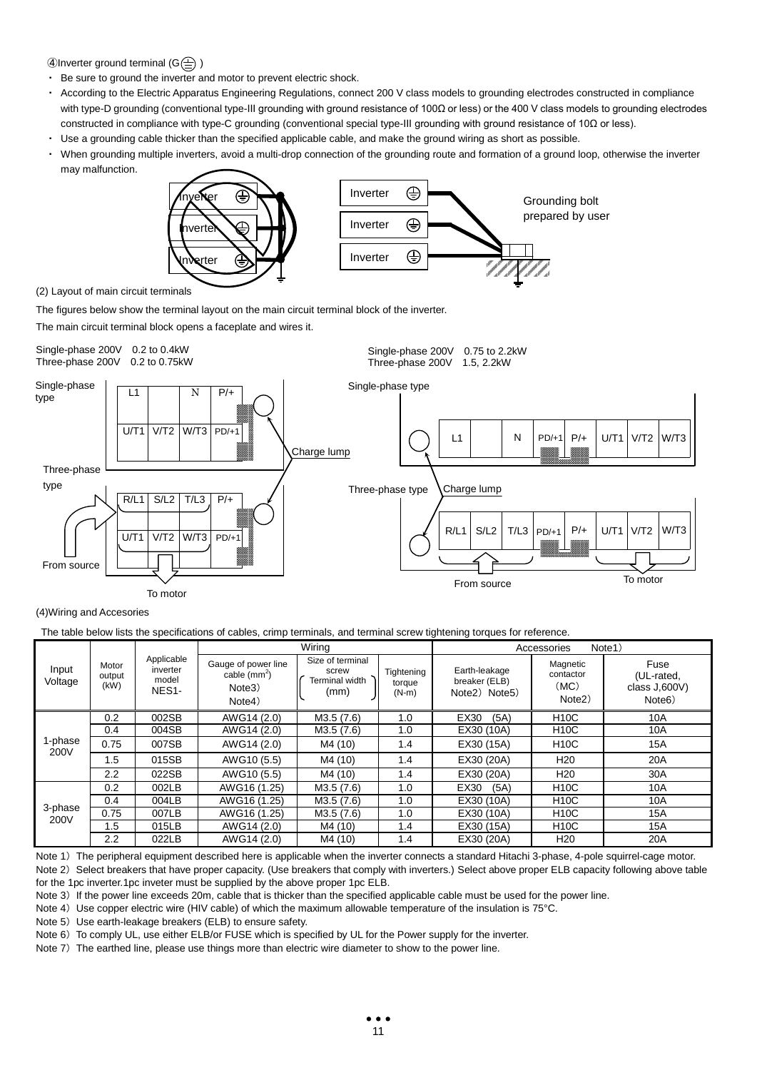4) Inverter ground terminal  $(G \oplus)$ 

- ・ Be sure to ground the inverter and motor to prevent electric shock.
- According to the Electric Apparatus Engineering Regulations, connect 200 V class models to grounding electrodes constructed in compliance with type-D grounding (conventional type-III grounding with ground resistance of 100Ω or less) or the 400 V class models to grounding electrodes constructed in compliance with type-C grounding (conventional special type-III grounding with ground resistance of 10Ω or less).
- ・ Use a grounding cable thicker than the specified applicable cable, and make the ground wiring as short as possible.
- ・ When grounding multiple inverters, avoid a multi-drop connection of the grounding route and formation of a ground loop, otherwise the inverter may malfunction.



#### (2) Layout of main circuit terminals

The figures below show the terminal layout on the main circuit terminal block of the inverter.

The main circuit terminal block opens a faceplate and wires it.



(4)Wiring and Accesories

The table below lists the specifications of cables, crimp terminals, and terminal screw tightening torques for reference.

|                  |                         |                                                       |                                                           | Wiring                                              |                                 | Note <sub>1</sub> )<br>Accessories              |                                                      |                                                            |
|------------------|-------------------------|-------------------------------------------------------|-----------------------------------------------------------|-----------------------------------------------------|---------------------------------|-------------------------------------------------|------------------------------------------------------|------------------------------------------------------------|
| Input<br>Voltage | Motor<br>output<br>(kW) | Applicable<br>inverter<br>model<br>NES <sub>1</sub> - | Gauge of power line<br>cable $(mm^2)$<br>Note3)<br>Note4) | Size of terminal<br>screw<br>Terminal width<br>(mm) | Tightening<br>torque<br>$(N-m)$ | Earth-leakage<br>breaker (ELB)<br>Note2) Note5) | Magnetic<br>contactor<br>(MC)<br>Note <sub>2</sub> ) | Fuse<br>(UL-rated,<br>class J,600V)<br>Note <sub>6</sub> ) |
|                  | 0.2                     | 002SB                                                 | AWG14 (2.0)                                               | M3.5 (7.6)                                          | 1.0                             | EX30<br>(5A)                                    | <b>H10C</b>                                          | 10A                                                        |
| 1-phase<br>200V  | 0.4                     | 004SB                                                 | AWG14 (2.0)                                               | M3.5 (7.6)                                          | 1.0                             | EX30 (10A)                                      | <b>H10C</b>                                          | 10A                                                        |
|                  | 0.75                    | 007SB                                                 | AWG14 (2.0)                                               | M4 (10)                                             | 1.4                             | EX30 (15A)                                      | <b>H10C</b>                                          | <b>15A</b>                                                 |
|                  | 1.5                     | 015SB                                                 | AWG10 (5.5)                                               | M4 (10)                                             | 1.4                             | EX30 (20A)                                      | H <sub>20</sub>                                      | 20A                                                        |
|                  | 2.2                     | 022SB                                                 | AWG10 (5.5)                                               | M4 (10)                                             | 1.4                             | EX30 (20A)                                      | H <sub>20</sub>                                      | 30A                                                        |
|                  | 0.2                     | 002LB                                                 | AWG16 (1.25)                                              | M3.5 (7.6)                                          | 1.0                             | EX30<br>(5A)                                    | <b>H10C</b>                                          | 10A                                                        |
|                  | 0.4                     | 004LB                                                 | AWG16 (1.25)                                              | M3.5 (7.6)                                          | 1.0                             | EX30 (10A)                                      | <b>H10C</b>                                          | 10A                                                        |
| 3-phase<br>200V  | 0.75                    | 007LB                                                 | AWG16 (1.25)                                              | M3.5 (7.6)                                          | 1.0                             | EX30 (10A)                                      | <b>H10C</b>                                          | 15A                                                        |
|                  | 1.5                     | 015LB                                                 | AWG14 (2.0)                                               | M4 (10)                                             | 1.4                             | EX30 (15A)                                      | <b>H10C</b>                                          | 15A                                                        |
|                  | 2.2                     | 022LB                                                 | AWG14 (2.0)                                               | M4 (10)                                             | 1.4                             | EX30 (20A)                                      | H <sub>20</sub>                                      | 20A                                                        |

Note 1) The peripheral equipment described here is applicable when the inverter connects a standard Hitachi 3-phase, 4-pole squirrel-cage motor. Note 2) Select breakers that have proper capacity. (Use breakers that comply with inverters.) Select above proper ELB capacity following above table for the 1pc inverter.1pc inveter must be supplied by the above proper 1pc ELB.

Note 3) If the power line exceeds 20m, cable that is thicker than the specified applicable cable must be used for the power line.

Note 4) Use copper electric wire (HIV cable) of which the maximum allowable temperature of the insulation is 75°C.

Note 5) Use earth-leakage breakers (ELB) to ensure safety.

Note 6) To comply UL, use either ELB/or FUSE which is specified by UL for the Power supply for the inverter.

Note 7) The earthed line, please use things more than electric wire diameter to show to the power line.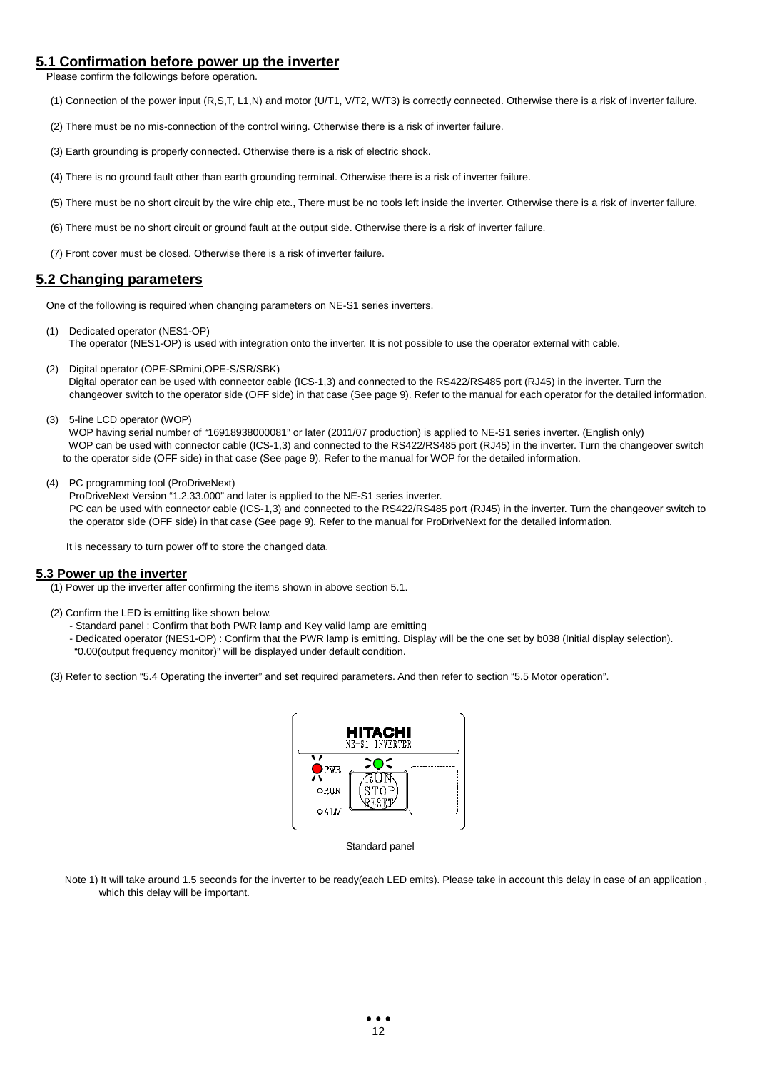## **5.1 Confirmation before power up the inverter**

Please confirm the followings before operation.

- (1) Connection of the power input (R,S,T, L1,N) and motor (U/T1, V/T2, W/T3) is correctly connected. Otherwise there is a risk of inverter failure.
- (2) There must be no mis-connection of the control wiring. Otherwise there is a risk of inverter failure.
- (3) Earth grounding is properly connected. Otherwise there is a risk of electric shock.
- (4) There is no ground fault other than earth grounding terminal. Otherwise there is a risk of inverter failure.
- (5) There must be no short circuit by the wire chip etc., There must be no tools left inside the inverter. Otherwise there is a risk of inverter failure.
- (6) There must be no short circuit or ground fault at the output side. Otherwise there is a risk of inverter failure.
- (7) Front cover must be closed. Otherwise there is a risk of inverter failure.

#### **5.2 Changing parameters**

One of the following is required when changing parameters on NE-S1 series inverters.

- (1) Dedicated operator (NES1-OP) The operator (NES1-OP) is used with integration onto the inverter. It is not possible to use the operator external with cable.
- (2) Digital operator (OPE-SRmini,OPE-S/SR/SBK) Digital operator can be used with connector cable (ICS-1,3) and connected to the RS422/RS485 port (RJ45) in the inverter. Turn the changeover switch to the operator side (OFF side) in that case (See page 9). Refer to the manual for each operator for the detailed information.
- (3) 5-line LCD operator (WOP)

WOP having serial number of "16918938000081" or later (2011/07 production) is applied to NE-S1 series inverter. (English only) WOP can be used with connector cable (ICS-1,3) and connected to the RS422/RS485 port (RJ45) in the inverter. Turn the changeover switch to the operator side (OFF side) in that case (See page 9). Refer to the manual for WOP for the detailed information.

(4) PC programming tool (ProDriveNext)

ProDriveNext Version "1.2.33.000" and later is applied to the NE-S1 series inverter. PC can be used with connector cable (ICS-1,3) and connected to the RS422/RS485 port (RJ45) in the inverter. Turn the changeover switch to the operator side (OFF side) in that case (See page 9). Refer to the manual for ProDriveNext for the detailed information.

It is necessary to turn power off to store the changed data.

#### **5.3 Power up the inverter**

(1) Power up the inverter after confirming the items shown in above section 5.1.

- (2) Confirm the LED is emitting like shown below.
	- Standard panel : Confirm that both PWR lamp and Key valid lamp are emitting
	- Dedicated operator (NES1-OP) : Confirm that the PWR lamp is emitting. Display will be the one set by b038 (Initial display selection).
	- "0.00(output frequency monitor)" will be displayed under default condition.

(3) Refer to section "5.4 Operating the inverter" and set required parameters. And then refer to section "5.5 Motor operation".



Standard panel

Note 1) It will take around 1.5 seconds for the inverter to be ready(each LED emits). Please take in account this delay in case of an application, which this delay will be important.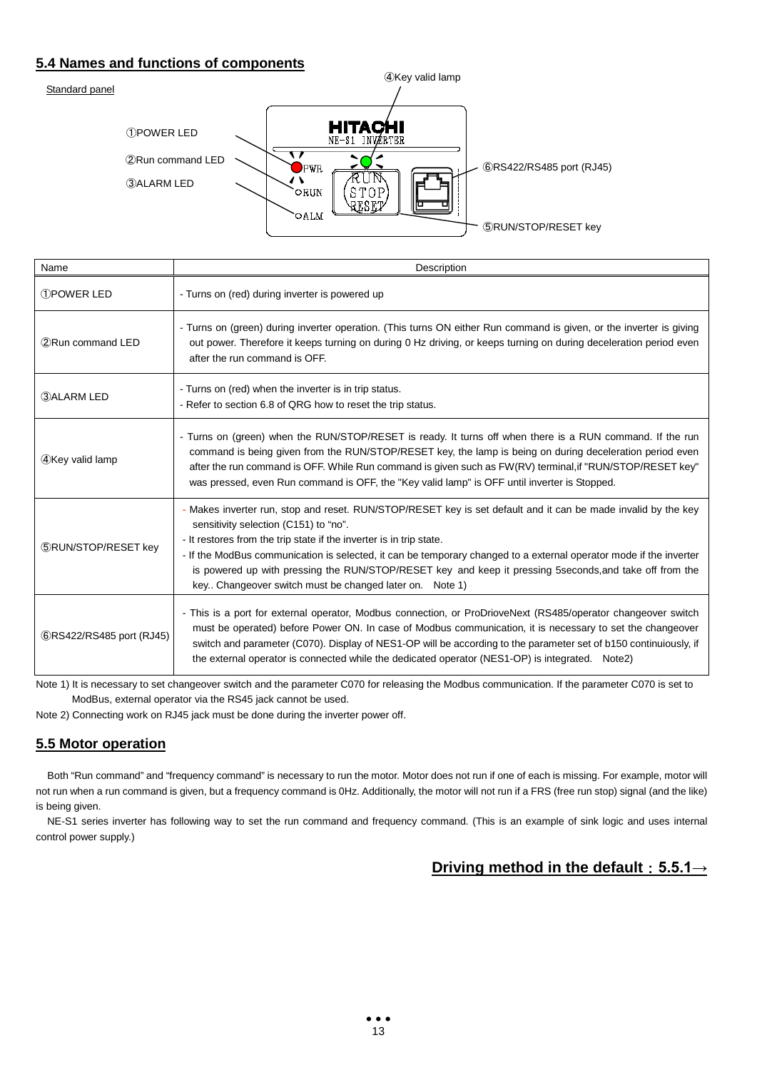# **5.4 Names and functions of components**



| Name                        | Description                                                                                                                                                                                                                                                                                                                                                                                                                                                                                                               |
|-----------------------------|---------------------------------------------------------------------------------------------------------------------------------------------------------------------------------------------------------------------------------------------------------------------------------------------------------------------------------------------------------------------------------------------------------------------------------------------------------------------------------------------------------------------------|
| <b>T</b> POWER LED          | - Turns on (red) during inverter is powered up                                                                                                                                                                                                                                                                                                                                                                                                                                                                            |
| 2 Run command LED           | - Turns on (green) during inverter operation. (This turns ON either Run command is given, or the inverter is giving<br>out power. Therefore it keeps turning on during 0 Hz driving, or keeps turning on during deceleration period even<br>after the run command is OFF.                                                                                                                                                                                                                                                 |
| 3) ALARM LED                | - Turns on (red) when the inverter is in trip status.<br>- Refer to section 6.8 of QRG how to reset the trip status.                                                                                                                                                                                                                                                                                                                                                                                                      |
| 4Key valid lamp             | - Turns on (green) when the RUN/STOP/RESET is ready. It turns off when there is a RUN command. If the run<br>command is being given from the RUN/STOP/RESET key, the lamp is being on during deceleration period even<br>after the run command is OFF. While Run command is given such as FW(RV) terminal, if "RUN/STOP/RESET key"<br>was pressed, even Run command is OFF, the "Key valid lamp" is OFF until inverter is Stopped.                                                                                        |
| <b>5 RUN/STOP/RESET key</b> | - Makes inverter run, stop and reset. RUN/STOP/RESET key is set default and it can be made invalid by the key<br>sensitivity selection (C151) to "no".<br>- It restores from the trip state if the inverter is in trip state.<br>- If the ModBus communication is selected, it can be temporary changed to a external operator mode if the inverter<br>is powered up with pressing the RUN/STOP/RESET key and keep it pressing 5seconds, and take off from the<br>key Changeover switch must be changed later on. Note 1) |
| 6RS422/RS485 port (RJ45)    | - This is a port for external operator, Modbus connection, or ProDrioveNext (RS485/operator changeover switch<br>must be operated) before Power ON. In case of Modbus communication, it is necessary to set the changeover<br>switch and parameter (C070). Display of NES1-OP will be according to the parameter set of b150 continuiously, if<br>the external operator is connected while the dedicated operator (NES1-OP) is integrated. Note2)                                                                         |

Note 1) It is necessary to set changeover switch and the parameter C070 for releasing the Modbus communication. If the parameter C070 is set to ModBus, external operator via the RS45 jack cannot be used.

Note 2) Connecting work on RJ45 jack must be done during the inverter power off.

# **5.5 Motor operation**

Both "Run command" and "frequency command" is necessary to run the motor. Motor does not run if one of each is missing. For example, motor will not run when a run command is given, but a frequency command is 0Hz. Additionally, the motor will not run if a FRS (free run stop) signal (and the like) is being given.

NE-S1 series inverter has following way to set the run command and frequency command. (This is an example of sink logic and uses internal control power supply.)

# **Driving method in the default**:**5.5.1→**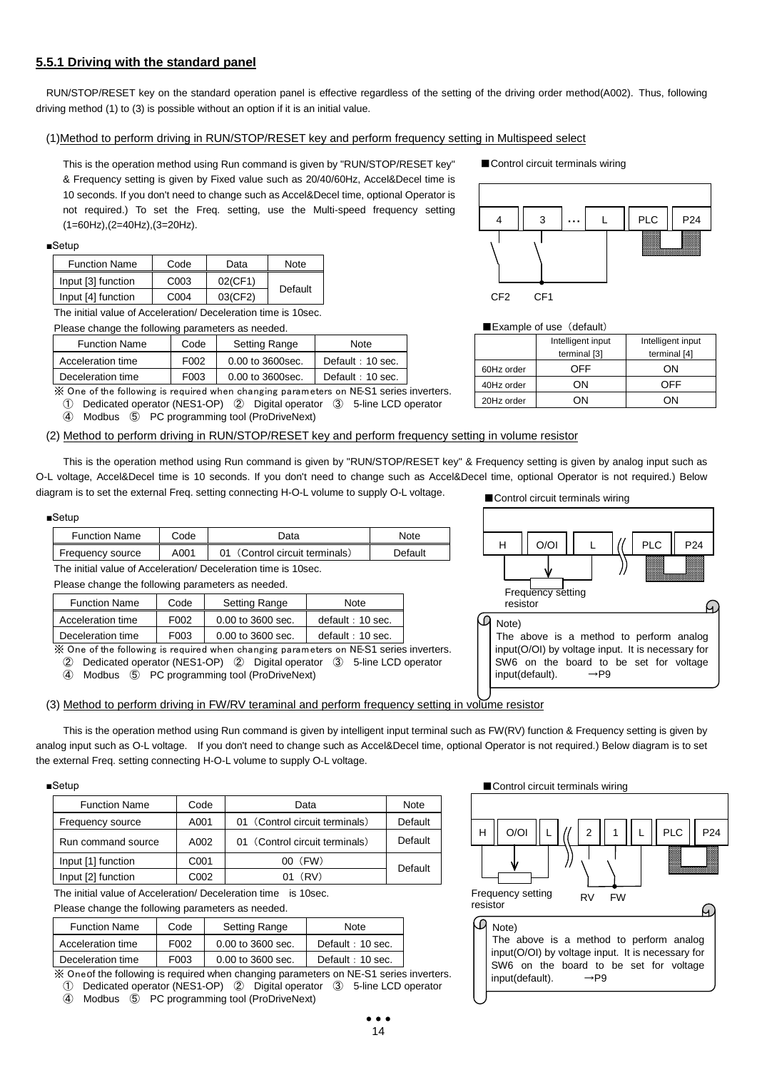## **5.5.1 Driving with the standard panel**

RUN/STOP/RESET key on the standard operation panel is effective regardless of the setting of the driving order method(A002). Thus, following driving method (1) to (3) is possible without an option if it is an initial value.

#### (1)Method to perform driving in RUN/STOP/RESET key and perform frequency setting in Multispeed select

This is the operation method using Run command is given by "RUN/STOP/RESET key" & Frequency setting is given by Fixed value such as 20/40/60Hz, Accel&Decel time is 10 seconds. If you don't need to change such as Accel&Decel time, optional Operator is not required.) To set the Freq. setting, use the Multi-speed frequency setting (1=60Hz),(2=40Hz),(3=20Hz).

#### ■Setup

| <b>Function Name</b> | Code             | Data                    | <b>Note</b> |
|----------------------|------------------|-------------------------|-------------|
| Input [3] function   | C <sub>003</sub> | $02$ (CF1)              |             |
| Input [4] function   | C <sub>004</sub> | $03$ (CF <sub>2</sub> ) | Default     |

The initial value of Acceleration/ Deceleration time is 10sec.<br>Please shapes the following permetars as passed

| Please change the following parameters as needed.            |             |                      |                    |  |  |  |
|--------------------------------------------------------------|-------------|----------------------|--------------------|--|--|--|
| <b>Function Name</b><br><b>Setting Range</b><br>Code<br>Note |             |                      |                    |  |  |  |
| Acceleration time                                            | F002        | 0.00 to 3600sec.     | Default: 10 sec.   |  |  |  |
| Deceleration time                                            | <b>EUU3</b> | $0.00$ to $3600$ sec | $Default + 10$ sec |  |  |  |

Deceleration time  $1003$  0.00 to 3600sec. Bue automated by  $1003$ ※ One of the following is required when changing parameters on NE-S1 series inverters.

① Dedicated operator (NES1-OP) ② Digital operator ③ 5-line LCD operator

④ Modbus ⑤ PC programming tool (ProDriveNext)

#### (2) Method to perform driving in RUN/STOP/RESET key and perform frequency setting in volume resistor

This is the operation method using Run command is given by "RUN/STOP/RESET key" & Frequency setting is given by analog input such as O-L voltage, Accel&Decel time is 10 seconds. If you don't need to change such as Accel&Decel time, optional Operator is not required.) Below diagram is to set the external Freq. setting connecting H-O-L volume to supply O-L voltage.

#### ■Setup

| <b>Function Name</b> | Code | .Jata                       | Note    |
|----------------------|------|-----------------------------|---------|
| Frequency source     | A001 | (Control circuit terminals) | Default |

The initial value of Acceleration/ Deceleration time is 10sec.

Please change the following parameters as needed.

| <b>Function Name</b> | Code              | <b>Setting Range</b>  | Note             |
|----------------------|-------------------|-----------------------|------------------|
| Acceleration time    | F <sub>0</sub> 02 | 0.00 to 3600 sec.     | default: 10 sec. |
| Deceleration time    | F <sub>003</sub>  | $0.00$ to $3600$ sec. | default: 10 sec. |

※ One of the following is required when changing parameters on NE-S1 series inverters.

② Dedicated operator (NES1-OP) ② Digital operator ③ 5-line LCD operator

④ Modbus ⑤ PC programming tool (ProDriveNext)

#### (3) Method to perform driving in FW/RV teraminal and perform frequency setting in volume resistor

This is the operation method using Run command is given by intelligent input terminal such as FW(RV) function & Frequency setting is given by analog input such as O-L voltage. If you don't need to change such as Accel&Decel time, optional Operator is not required.) Below diagram is to set the external Freq. setting connecting H-O-L volume to supply O-L voltage.

#### ■Setup

| <b>Function Name</b> | Code | Data                           | Note    |
|----------------------|------|--------------------------------|---------|
| Frequency source     | A001 | 01 (Control circuit terminals) | Default |
| Run command source   | A002 | 01 (Control circuit terminals) | Default |
| Input [1] function   | C001 | 00 (FW)                        | Default |
| Input [2] function   | C002 | 01 (RV)                        |         |

The initial value of Acceleration/ Deceleration time is 10sec.

Please change the following parameters as needed.

| <b>Function Name</b> | Code              | Setting Range     | Note             |  |
|----------------------|-------------------|-------------------|------------------|--|
| Acceleration time    | F <sub>0</sub> 02 | 0.00 to 3600 sec. | Default: 10 sec. |  |
| Deceleration time    | F <sub>003</sub>  | 0.00 to 3600 sec. | Default: 10 sec. |  |

※ One of the following is required when changing parameters on NE-S1 series inverters.

① Dedicated operator (NES1-OP) ② Digital operator ③ 5-line LCD operator

④ Modbus ⑤ PC programming tool (ProDriveNext)

■Control circuit terminals wiring



■ Control circuit terminals wiring



 $\blacksquare$  Example of use (default)

|            | Intelligent input | Intelligent input |
|------------|-------------------|-------------------|
|            | terminal [3]      | terminal [4]      |
| 60Hz order | OFF.              | OΝ                |
| 40Hz order | ٦N                | OFF               |
| 20Hz order |                   |                   |

■Control circuit terminals wiring

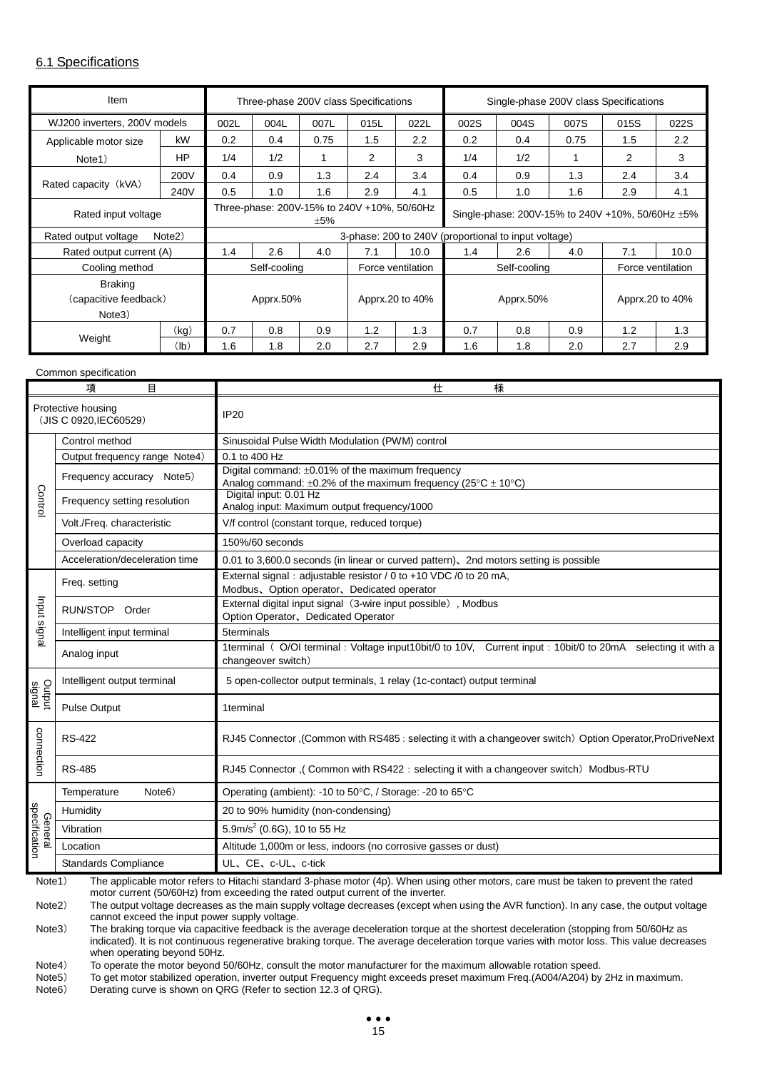## 6.1 Specifications

| Item                         |                     |                                                    |                              | Three-phase 200V class Specifications |     |                   | Single-phase 200V class Specifications               |      |                 |                   |      |
|------------------------------|---------------------|----------------------------------------------------|------------------------------|---------------------------------------|-----|-------------------|------------------------------------------------------|------|-----------------|-------------------|------|
| WJ200 inverters, 200V models |                     | 002L                                               | 022L<br>004L<br>007L<br>015L |                                       |     | 002S              | 004S                                                 | 007S | 015S            | 022S              |      |
| Applicable motor size        | kW                  | 0.2                                                | 0.4                          | 0.75                                  | 1.5 | 2.2               | 0.2                                                  | 0.4  | 0.75            | 1.5               | 2.2  |
| Note1)                       | HP                  | 1/4                                                | 1/2                          | 1                                     | 2   | 3                 | 1/4                                                  | 1/2  |                 | 2                 | 3    |
|                              | 200V                | 0.4                                                | 0.9                          | 1.3                                   | 2.4 | 3.4               | 0.4                                                  | 0.9  | 1.3             | 2.4               | 3.4  |
| Rated capacity (kVA)         | 240V                | 0.5                                                | 1.0                          | 1.6                                   | 2.9 | 4.1               | 0.5                                                  | 1.0  | 1.6             | 2.9               | 4.1  |
| Rated input voltage          |                     | Three-phase: 200V-15% to 240V +10%, 50/60Hz<br>±5% |                              |                                       |     |                   | Single-phase: 200V-15% to 240V +10%, 50/60Hz ±5%     |      |                 |                   |      |
| Rated output voltage         | Note <sub>2</sub> ) |                                                    |                              |                                       |     |                   | 3-phase: 200 to 240V (proportional to input voltage) |      |                 |                   |      |
| Rated output current (A)     |                     | 1.4                                                | 2.6                          | 4.0                                   | 7.1 | 10.0              | 1.4                                                  | 2.6  | 4.0             | 7.1               | 10.0 |
| Cooling method               |                     |                                                    | Self-cooling                 |                                       |     | Force ventilation | Self-cooling                                         |      |                 | Force ventilation |      |
| Braking                      |                     |                                                    |                              |                                       |     |                   |                                                      |      |                 |                   |      |
| (capacitive feedback)        |                     | Apprx.50%                                          |                              | Apprx.20 to 40%                       |     | Apprx.50%         |                                                      |      | Apprx.20 to 40% |                   |      |
| Note3)                       |                     |                                                    |                              |                                       |     |                   |                                                      |      |                 |                   |      |
|                              | (kg)                | 0.7                                                | 0.8                          | 0.9                                   | 1.2 | 1.3               | 0.7                                                  | 0.8  | 0.9             | 1.2               | 1.3  |
| Weight                       | (lb)                | 1.6                                                | 1.8                          | 2.0                                   | 2.7 | 2.9               | 1.6<br>1.8<br>2.0                                    |      | 2.7             | 2.9               |      |

#### Common specification

|                  | 項<br>目                                                                                                                                         | 仕<br>様                                                                                                                           |  |  |  |  |
|------------------|------------------------------------------------------------------------------------------------------------------------------------------------|----------------------------------------------------------------------------------------------------------------------------------|--|--|--|--|
|                  | Protective housing<br>(JIS C 0920.IEC60529)                                                                                                    | <b>IP20</b>                                                                                                                      |  |  |  |  |
|                  | Control method                                                                                                                                 | Sinusoidal Pulse Width Modulation (PWM) control                                                                                  |  |  |  |  |
|                  | Output frequency range Note4)                                                                                                                  | 0.1 to 400 Hz                                                                                                                    |  |  |  |  |
|                  | Frequency accuracy Note5)                                                                                                                      | Digital command: ±0.01% of the maximum frequency<br>Analog command: $\pm 0.2\%$ of the maximum frequency (25°C $\pm$ 10°C)       |  |  |  |  |
| Control          | Frequency setting resolution                                                                                                                   | Digital input: 0.01 Hz<br>Analog input: Maximum output frequency/1000                                                            |  |  |  |  |
|                  | Volt./Freq. characteristic                                                                                                                     | V/f control (constant torque, reduced torque)                                                                                    |  |  |  |  |
|                  | Overload capacity                                                                                                                              | 150%/60 seconds                                                                                                                  |  |  |  |  |
|                  | Acceleration/deceleration time                                                                                                                 | 0.01 to 3,600.0 seconds (in linear or curved pattern), 2nd motors setting is possible                                            |  |  |  |  |
|                  | Freq. setting                                                                                                                                  | External signal: adjustable resistor / 0 to +10 VDC /0 to 20 mA,<br>Modbus, Option operator, Dedicated operator                  |  |  |  |  |
| Input signal     | RUN/STOP Order                                                                                                                                 | External digital input signal (3-wire input possible), Modbus<br>Option Operator, Dedicated Operator                             |  |  |  |  |
|                  | Intelligent input terminal                                                                                                                     | 5terminals                                                                                                                       |  |  |  |  |
|                  | Analog input                                                                                                                                   | 1terminal (O/OI terminal: Voltage input10bit/0 to 10V, Current input : 10bit/0 to 20mA selecting it with a<br>changeover switch) |  |  |  |  |
|                  | Intelligent output terminal                                                                                                                    | 5 open-collector output terminals, 1 relay (1c-contact) output terminal                                                          |  |  |  |  |
| Output<br>signal | <b>Pulse Output</b>                                                                                                                            | 1terminal                                                                                                                        |  |  |  |  |
| connection       | <b>RS-422</b>                                                                                                                                  | RJ45 Connector ,(Common with RS485 : selecting it with a changeover switch) Option Operator, ProDriveNext                        |  |  |  |  |
|                  | <b>RS-485</b>                                                                                                                                  | RJ45 Connector, (Common with RS422: selecting it with a changeover switch) Modbus-RTU                                            |  |  |  |  |
|                  | Note <sub>6</sub> )<br>Temperature                                                                                                             | Operating (ambient): -10 to 50°C, / Storage: -20 to 65°C                                                                         |  |  |  |  |
| specification    | Humidity                                                                                                                                       | 20 to 90% humidity (non-condensing)                                                                                              |  |  |  |  |
| Genera           | Vibration                                                                                                                                      | 5.9m/s <sup>2</sup> (0.6G), 10 to 55 Hz                                                                                          |  |  |  |  |
|                  | Location                                                                                                                                       | Altitude 1,000m or less, indoors (no corrosive gasses or dust)                                                                   |  |  |  |  |
|                  | <b>Standards Compliance</b>                                                                                                                    | UL、CE、c-UL、c-tick                                                                                                                |  |  |  |  |
|                  | The applicable motor refers to Hitachi standard 3-phase motor (4p). When using other motors, care must be taken to prevent the rated<br>Note1) |                                                                                                                                  |  |  |  |  |

motor current (50/60Hz) from exceeding the rated output current of the inverter.

Note2) The output voltage decreases as the main supply voltage decreases (except when using the AVR function). In any case, the output voltage cannot exceed the input power supply voltage.

Note3) The braking torque via capacitive feedback is the average deceleration torque at the shortest deceleration (stopping from 50/60Hz as indicated). It is not continuous regenerative braking torque. The average deceleration torque varies with motor loss. This value decreases when operating beyond 50Hz.

Note4) To operate the motor beyond 50/60Hz, consult the motor manufacturer for the maximum allowable rotation speed.<br>Note5) To get motor stabilized operation, inverter output Frequency might exceeds preset maximum Freq.(A0

To get motor stabilized operation, inverter output Frequency might exceeds preset maximum Freq.(A004/A204) by 2Hz in maximum. Note6) Derating curve is shown on QRG (Refer to section 12.3 of QRG).